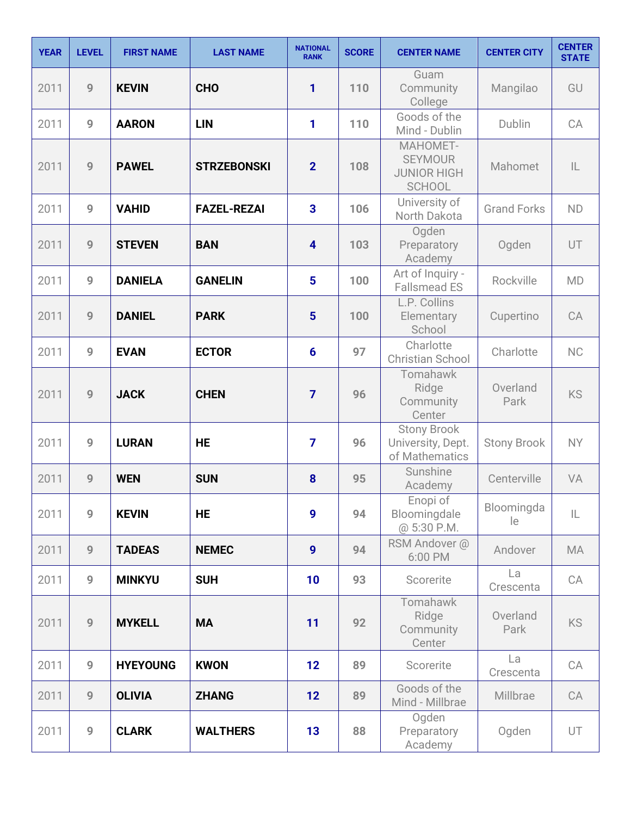| <b>YEAR</b> | <b>LEVEL</b>   | <b>FIRST NAME</b> | <b>LAST NAME</b>   | <b>NATIONAL</b><br><b>RANK</b> | <b>SCORE</b> | <b>CENTER NAME</b>                                                | <b>CENTER CITY</b> | <b>CENTER</b><br><b>STATE</b> |
|-------------|----------------|-------------------|--------------------|--------------------------------|--------------|-------------------------------------------------------------------|--------------------|-------------------------------|
| 2011        | 9              | <b>KEVIN</b>      | <b>CHO</b>         | 1                              | 110          | Guam<br>Community<br>College                                      | Mangilao           | GU                            |
| 2011        | 9              | <b>AARON</b>      | <b>LIN</b>         | 1                              | 110          | Goods of the<br>Mind - Dublin                                     | Dublin             | CA                            |
| 2011        | 9              | <b>PAWEL</b>      | <b>STRZEBONSKI</b> | $\overline{2}$                 | 108          | MAHOMET-<br><b>SEYMOUR</b><br><b>JUNIOR HIGH</b><br><b>SCHOOL</b> | Mahomet            | $\mathsf{IL}$                 |
| 2011        | 9              | <b>VAHID</b>      | <b>FAZEL-REZAI</b> | $\overline{\mathbf{3}}$        | 106          | University of<br>North Dakota                                     | <b>Grand Forks</b> | <b>ND</b>                     |
| 2011        | 9              | <b>STEVEN</b>     | <b>BAN</b>         | $\overline{\mathbf{4}}$        | 103          | Ogden<br>Preparatory<br>Academy                                   | Ogden              | UT                            |
| 2011        | 9              | <b>DANIELA</b>    | <b>GANELIN</b>     | $5\phantom{1}$                 | 100          | Art of Inquiry -<br><b>Fallsmead ES</b>                           | Rockville          | <b>MD</b>                     |
| 2011        | 9              | <b>DANIEL</b>     | <b>PARK</b>        | 5                              | 100          | L.P. Collins<br>Elementary<br>School                              | Cupertino          | CA                            |
| 2011        | 9              | <b>EVAN</b>       | <b>ECTOR</b>       | $6\phantom{1}6$                | 97           | Charlotte<br><b>Christian School</b>                              | Charlotte          | <b>NC</b>                     |
| 2011        | 9              | <b>JACK</b>       | <b>CHEN</b>        | 7                              | 96           | Tomahawk<br>Ridge<br>Community<br>Center                          | Overland<br>Park   | <b>KS</b>                     |
| 2011        | 9              | <b>LURAN</b>      | <b>HE</b>          | $\overline{7}$                 | 96           | <b>Stony Brook</b><br>University, Dept.<br>of Mathematics         | <b>Stony Brook</b> | <b>NY</b>                     |
| 2011        | 9              | <b>WEN</b>        | <b>SUN</b>         | 8                              | 95           | Sunshine<br>Academy                                               | Centerville        | VA                            |
| 2011        | 9              | <b>KEVIN</b>      | <b>HE</b>          | 9                              | 94           | Enopi of<br>Bloomingdale<br>@ 5:30 P.M.                           | Bloomingda<br>le   | $\mathsf{IL}$                 |
| 2011        | 9              | <b>TADEAS</b>     | <b>NEMEC</b>       | 9                              | 94           | RSM Andover @<br>6:00 PM                                          | Andover            | <b>MA</b>                     |
| 2011        | 9              | <b>MINKYU</b>     | <b>SUH</b>         | 10                             | 93           | Scorerite                                                         | La<br>Crescenta    | CA                            |
| 2011        | 9              | <b>MYKELL</b>     | <b>MA</b>          | 11                             | 92           | Tomahawk<br>Ridge<br>Community<br>Center                          | Overland<br>Park   | <b>KS</b>                     |
| 2011        | 9              | <b>HYEYOUNG</b>   | <b>KWON</b>        | 12                             | 89           | Scorerite                                                         | La<br>Crescenta    | CA                            |
| 2011        | $\overline{9}$ | <b>OLIVIA</b>     | <b>ZHANG</b>       | 12                             | 89           | Goods of the<br>Mind - Millbrae                                   | Millbrae           | CA                            |
| 2011        | $\overline{9}$ | <b>CLARK</b>      | <b>WALTHERS</b>    | 13                             | 88           | Ogden<br>Preparatory<br>Academy                                   | Ogden              | UT.                           |